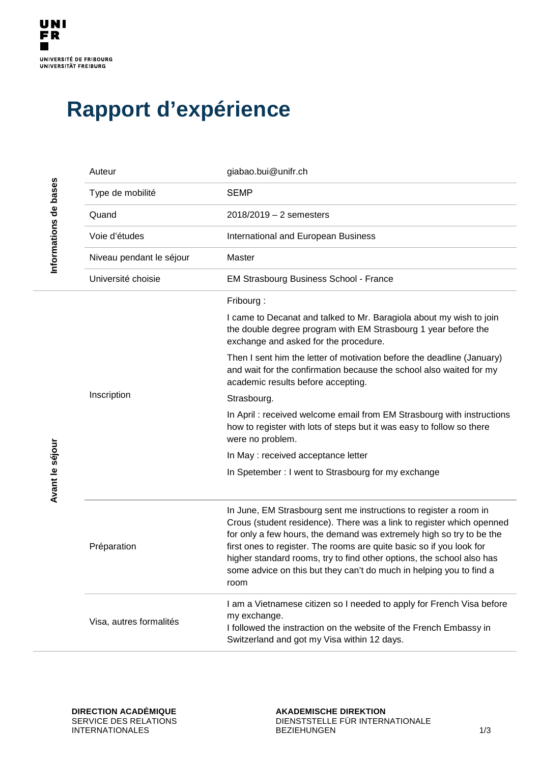$\overline{\phantom{a}}$ 

## **Rapport d'expérience**

|                       | Auteur                   | giabao.bui@unifr.ch                                                                                                                                                                                                                                                                                                                                                                                                                                |
|-----------------------|--------------------------|----------------------------------------------------------------------------------------------------------------------------------------------------------------------------------------------------------------------------------------------------------------------------------------------------------------------------------------------------------------------------------------------------------------------------------------------------|
|                       | Type de mobilité         | <b>SEMP</b>                                                                                                                                                                                                                                                                                                                                                                                                                                        |
|                       | Quand                    | $2018/2019 - 2$ semesters                                                                                                                                                                                                                                                                                                                                                                                                                          |
| Informations de bases | Voie d'études            | International and European Business                                                                                                                                                                                                                                                                                                                                                                                                                |
|                       | Niveau pendant le séjour | Master                                                                                                                                                                                                                                                                                                                                                                                                                                             |
|                       | Université choisie       | <b>EM Strasbourg Business School - France</b>                                                                                                                                                                                                                                                                                                                                                                                                      |
|                       | Inscription              | Fribourg:                                                                                                                                                                                                                                                                                                                                                                                                                                          |
|                       |                          | I came to Decanat and talked to Mr. Baragiola about my wish to join<br>the double degree program with EM Strasbourg 1 year before the<br>exchange and asked for the procedure.                                                                                                                                                                                                                                                                     |
|                       |                          | Then I sent him the letter of motivation before the deadline (January)<br>and wait for the confirmation because the school also waited for my<br>academic results before accepting.                                                                                                                                                                                                                                                                |
|                       |                          | Strasbourg.                                                                                                                                                                                                                                                                                                                                                                                                                                        |
|                       |                          | In April : received welcome email from EM Strasbourg with instructions<br>how to register with lots of steps but it was easy to follow so there<br>were no problem.                                                                                                                                                                                                                                                                                |
|                       |                          | In May: received acceptance letter                                                                                                                                                                                                                                                                                                                                                                                                                 |
| Avant le séjour       |                          | In Spetember : I went to Strasbourg for my exchange                                                                                                                                                                                                                                                                                                                                                                                                |
|                       | Préparation              | In June, EM Strasbourg sent me instructions to register a room in<br>Crous (student residence). There was a link to register which openned<br>for only a few hours, the demand was extremely high so try to be the<br>first ones to register. The rooms are quite basic so if you look for<br>higher standard rooms, try to find other options, the school also has<br>some advice on this but they can't do much in helping you to find a<br>room |
|                       | Visa, autres formalités  | I am a Vietnamese citizen so I needed to apply for French Visa before<br>my exchange.<br>I followed the instraction on the website of the French Embassy in<br>Switzerland and got my Visa within 12 days.                                                                                                                                                                                                                                         |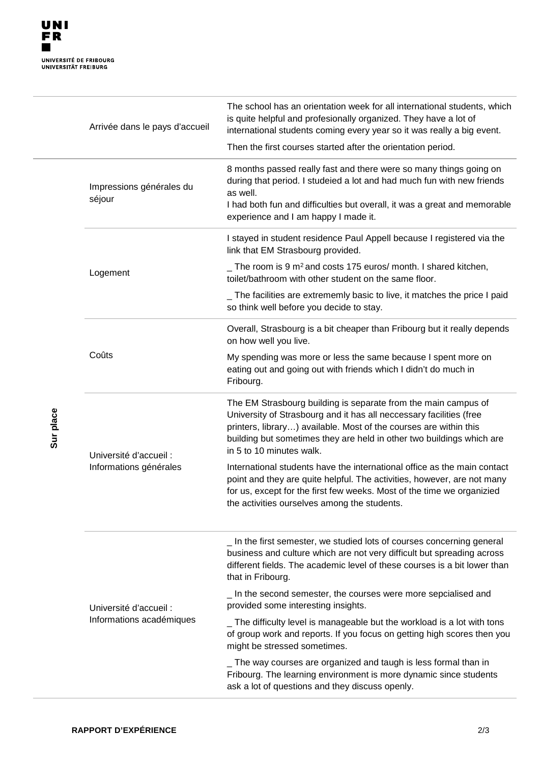$\overline{\phantom{a}}$ 

|           | Arrivée dans le pays d'accueil                     | The school has an orientation week for all international students, which<br>is quite helpful and profesionally organized. They have a lot of<br>international students coming every year so it was really a big event.<br>Then the first courses started after the orientation period.                          |
|-----------|----------------------------------------------------|-----------------------------------------------------------------------------------------------------------------------------------------------------------------------------------------------------------------------------------------------------------------------------------------------------------------|
| Sur place | Impressions générales du<br>séjour                 | 8 months passed really fast and there were so many things going on<br>during that period. I studeied a lot and had much fun with new friends<br>as well.<br>I had both fun and difficulties but overall, it was a great and memorable<br>experience and I am happy I made it.                                   |
|           | Logement                                           | I stayed in student residence Paul Appell because I registered via the<br>link that EM Strasbourg provided.                                                                                                                                                                                                     |
|           |                                                    | $\_$ The room is 9 m <sup>2</sup> and costs 175 euros/ month. I shared kitchen,<br>toilet/bathroom with other student on the same floor.                                                                                                                                                                        |
|           |                                                    | The facilities are extrememly basic to live, it matches the price I paid<br>so think well before you decide to stay.                                                                                                                                                                                            |
|           | Coûts                                              | Overall, Strasbourg is a bit cheaper than Fribourg but it really depends<br>on how well you live.                                                                                                                                                                                                               |
|           |                                                    | My spending was more or less the same because I spent more on<br>eating out and going out with friends which I didn't do much in<br>Fribourg.                                                                                                                                                                   |
|           | Université d'accueil :<br>Informations générales   | The EM Strasbourg building is separate from the main campus of<br>University of Strasbourg and it has all neccessary facilities (free<br>printers, library) available. Most of the courses are within this<br>building but sometimes they are held in other two buildings which are<br>in 5 to 10 minutes walk. |
|           |                                                    | International students have the international office as the main contact<br>point and they are quite helpful. The activities, however, are not many<br>for us, except for the first few weeks. Most of the time we organizied<br>the activities ourselves among the students.                                   |
|           | Université d'accueil :<br>Informations académiques | _ In the first semester, we studied lots of courses concerning general<br>business and culture which are not very difficult but spreading across<br>different fields. The academic level of these courses is a bit lower than<br>that in Fribourg.                                                              |
|           |                                                    | _ In the second semester, the courses were more sepcialised and<br>provided some interesting insights.                                                                                                                                                                                                          |
|           |                                                    | The difficulty level is manageable but the workload is a lot with tons<br>of group work and reports. If you focus on getting high scores then you<br>might be stressed sometimes.                                                                                                                               |
|           |                                                    | _ The way courses are organized and taugh is less formal than in<br>Fribourg. The learning environment is more dynamic since students<br>ask a lot of questions and they discuss openly.                                                                                                                        |